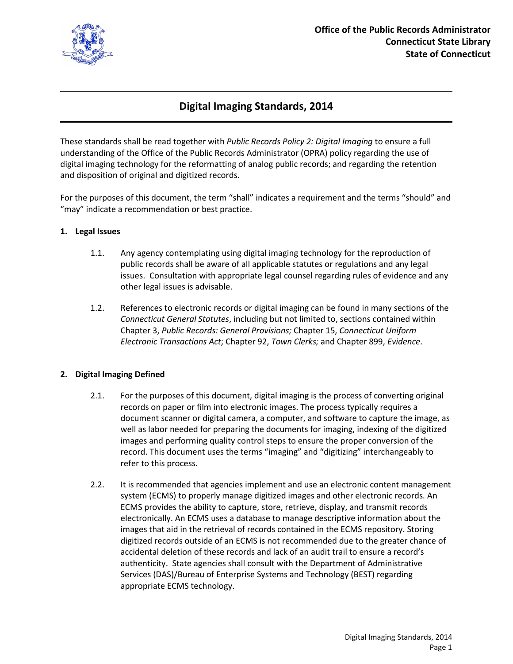

# **Digital Imaging Standards, 2014**

These standards shall be read together with *Public Records Policy 2: Digital Imaging* to ensure a full understanding of the Office of the Public Records Administrator (OPRA) policy regarding the use of digital imaging technology for the reformatting of analog public records; and regarding the retention and disposition of original and digitized records.

For the purposes of this document, the term "shall" indicates a requirement and the terms "should" and "may" indicate a recommendation or best practice.

## **1. Legal Issues**

- 1.1. Any agency contemplating using digital imaging technology for the reproduction of public records shall be aware of all applicable statutes or regulations and any legal issues. Consultation with appropriate legal counsel regarding rules of evidence and any other legal issues is advisable.
- 1.2. References to electronic records or digital imaging can be found in many sections of the *Connecticut General Statutes*, including but not limited to, sections contained within Chapter 3, *Public Records: General Provisions;* Chapter 15, *Connecticut Uniform Electronic Transactions Act*; Chapter 92, *Town Clerks;* and Chapter 899, *Evidence*.

## **2. Digital Imaging Defined**

- 2.1. For the purposes of this document, digital imaging is the process of converting original records on paper or film into electronic images. The process typically requires a document scanner or digital camera, a computer, and software to capture the image, as well as labor needed for preparing the documents for imaging, indexing of the digitized images and performing quality control steps to ensure the proper conversion of the record. This document uses the terms "imaging" and "digitizing" interchangeably to refer to this process.
- 2.2. It is recommended that agencies implement and use an electronic content management system (ECMS) to properly manage digitized images and other electronic records. An ECMS provides the ability to capture, store, retrieve, display, and transmit records electronically. An ECMS uses a database to manage descriptive information about the images that aid in the retrieval of records contained in the ECMS repository. Storing digitized records outside of an ECMS is not recommended due to the greater chance of accidental deletion of these records and lack of an audit trail to ensure a record's authenticity. State agencies shall consult with the Department of Administrative Services (DAS)/Bureau of Enterprise Systems and Technology (BEST) regarding appropriate ECMS technology.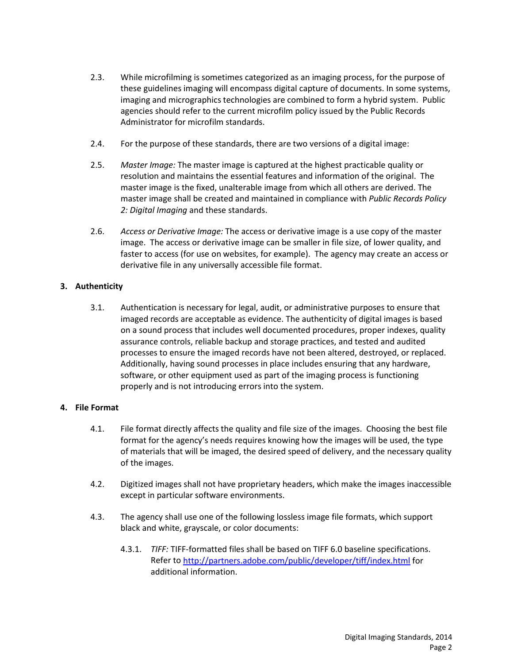- 2.3. While microfilming is sometimes categorized as an imaging process, for the purpose of these guidelines imaging will encompass digital capture of documents. In some systems, imaging and micrographics technologies are combined to form a hybrid system. Public agencies should refer to the current microfilm policy issued by the Public Records Administrator for microfilm standards.
- 2.4. For the purpose of these standards, there are two versions of a digital image:
- 2.5. *Master Image:* The master image is captured at the highest practicable quality or resolution and maintains the essential features and information of the original. The master image is the fixed, unalterable image from which all others are derived. The master image shall be created and maintained in compliance with *Public Records Policy 2: Digital Imaging* and these standards.
- 2.6. *Access or Derivative Image:* The access or derivative image is a use copy of the master image. The access or derivative image can be smaller in file size, of lower quality, and faster to access (for use on websites, for example). The agency may create an access or derivative file in any universally accessible file format.

# **3. Authenticity**

3.1. Authentication is necessary for legal, audit, or administrative purposes to ensure that imaged records are acceptable as evidence. The authenticity of digital images is based on a sound process that includes well documented procedures, proper indexes, quality assurance controls, reliable backup and storage practices, and tested and audited processes to ensure the imaged records have not been altered, destroyed, or replaced. Additionally, having sound processes in place includes ensuring that any hardware, software, or other equipment used as part of the imaging process is functioning properly and is not introducing errors into the system.

## **4. File Format**

- 4.1. File format directly affects the quality and file size of the images. Choosing the best file format for the agency's needs requires knowing how the images will be used, the type of materials that will be imaged, the desired speed of delivery, and the necessary quality of the images.
- 4.2. Digitized images shall not have proprietary headers, which make the images inaccessible except in particular software environments.
- 4.3. The agency shall use one of the following lossless image file formats, which support black and white, grayscale, or color documents:
	- 4.3.1. *TIFF:* TIFF-formatted files shall be based on TIFF 6.0 baseline specifications. Refer to <http://partners.adobe.com/public/developer/tiff/index.html> for additional information.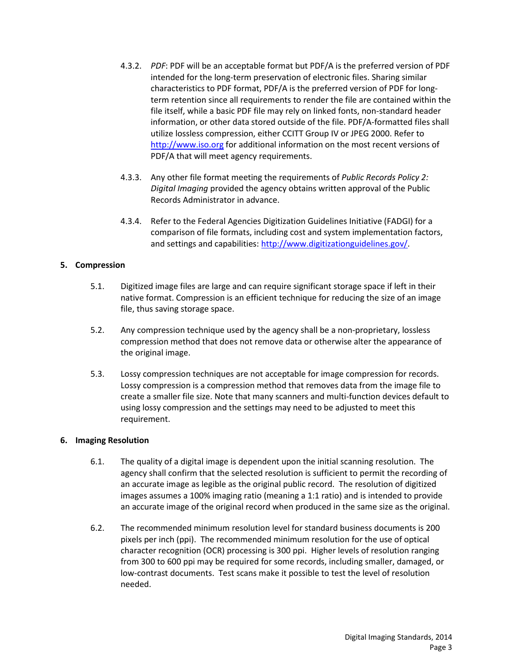- 4.3.2. *PDF*: PDF will be an acceptable format but PDF/A is the preferred version of PDF intended for the long-term preservation of electronic files. Sharing similar characteristics to PDF format, PDF/A is the preferred version of PDF for longterm retention since all requirements to render the file are contained within the file itself, while a basic PDF file may rely on linked fonts, non-standard header information, or other data stored outside of the file. PDF/A-formatted files shall utilize lossless compression, either CCITT Group IV or JPEG 2000. Refer to [http://www.iso.org](http://www.iso.org/) for additional information on the most recent versions of PDF/A that will meet agency requirements.
- 4.3.3. Any other file format meeting the requirements of *Public Records Policy 2: Digital Imaging* provided the agency obtains written approval of the Public Records Administrator in advance.
- 4.3.4. Refer to the Federal Agencies Digitization Guidelines Initiative (FADGI) for a comparison of file formats, including cost and system implementation factors, and settings and capabilities: [http://www.digitizationguidelines.gov/.](http://www.digitizationguidelines.gov/)

# **5. Compression**

- 5.1. Digitized image files are large and can require significant storage space if left in their native format. Compression is an efficient technique for reducing the size of an image file, thus saving storage space.
- 5.2. Any compression technique used by the agency shall be a non-proprietary, lossless compression method that does not remove data or otherwise alter the appearance of the original image.
- 5.3. Lossy compression techniques are not acceptable for image compression for records. Lossy compression is a compression method that removes data from the image file to create a smaller file size. Note that many scanners and multi-function devices default to using lossy compression and the settings may need to be adjusted to meet this requirement.

## **6. Imaging Resolution**

- 6.1. The quality of a digital image is dependent upon the initial scanning resolution. The agency shall confirm that the selected resolution is sufficient to permit the recording of an accurate image as legible as the original public record. The resolution of digitized images assumes a 100% imaging ratio (meaning a 1:1 ratio) and is intended to provide an accurate image of the original record when produced in the same size as the original.
- 6.2. The recommended minimum resolution level for standard business documents is 200 pixels per inch (ppi). The recommended minimum resolution for the use of optical character recognition (OCR) processing is 300 ppi. Higher levels of resolution ranging from 300 to 600 ppi may be required for some records, including smaller, damaged, or low-contrast documents. Test scans make it possible to test the level of resolution needed.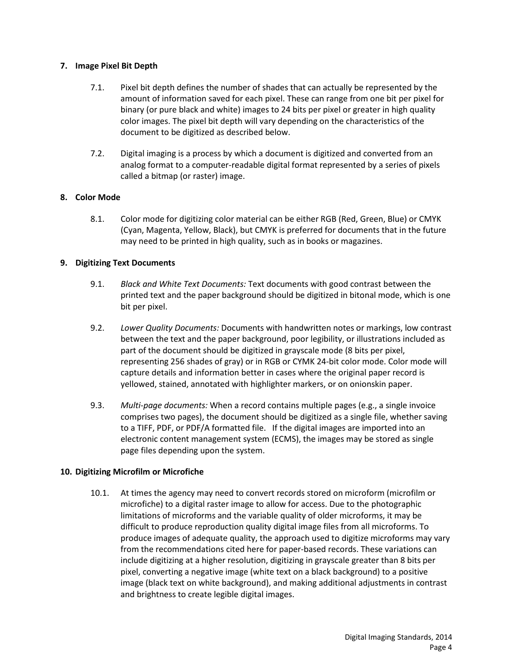## **7. Image Pixel Bit Depth**

- 7.1. Pixel bit depth defines the number of shades that can actually be represented by the amount of information saved for each pixel. These can range from one bit per pixel for binary (or pure black and white) images to 24 bits per pixel or greater in high quality color images. The pixel bit depth will vary depending on the characteristics of the document to be digitized as described below.
- 7.2. Digital imaging is a process by which a document is digitized and converted from an analog format to a computer-readable digital format represented by a series of pixels called a bitmap (or raster) image.

# **8. Color Mode**

8.1. Color mode for digitizing color material can be either RGB (Red, Green, Blue) or CMYK (Cyan, Magenta, Yellow, Black), but CMYK is preferred for documents that in the future may need to be printed in high quality, such as in books or magazines.

# **9. Digitizing Text Documents**

- 9.1. *Black and White Text Documents:* Text documents with good contrast between the printed text and the paper background should be digitized in bitonal mode, which is one bit per pixel.
- 9.2. *Lower Quality Documents:* Documents with handwritten notes or markings, low contrast between the text and the paper background, poor legibility, or illustrations included as part of the document should be digitized in grayscale mode (8 bits per pixel, representing 256 shades of gray) or in RGB or CYMK 24-bit color mode. Color mode will capture details and information better in cases where the original paper record is yellowed, stained, annotated with highlighter markers, or on onionskin paper.
- 9.3. *Multi-page documents:* When a record contains multiple pages (e.g., a single invoice comprises two pages), the document should be digitized as a single file, whether saving to a TIFF, PDF, or PDF/A formatted file. If the digital images are imported into an electronic content management system (ECMS), the images may be stored as single page files depending upon the system.

## **10. Digitizing Microfilm or Microfiche**

10.1. At times the agency may need to convert records stored on microform (microfilm or microfiche) to a digital raster image to allow for access. Due to the photographic limitations of microforms and the variable quality of older microforms, it may be difficult to produce reproduction quality digital image files from all microforms. To produce images of adequate quality, the approach used to digitize microforms may vary from the recommendations cited here for paper-based records. These variations can include digitizing at a higher resolution, digitizing in grayscale greater than 8 bits per pixel, converting a negative image (white text on a black background) to a positive image (black text on white background), and making additional adjustments in contrast and brightness to create legible digital images.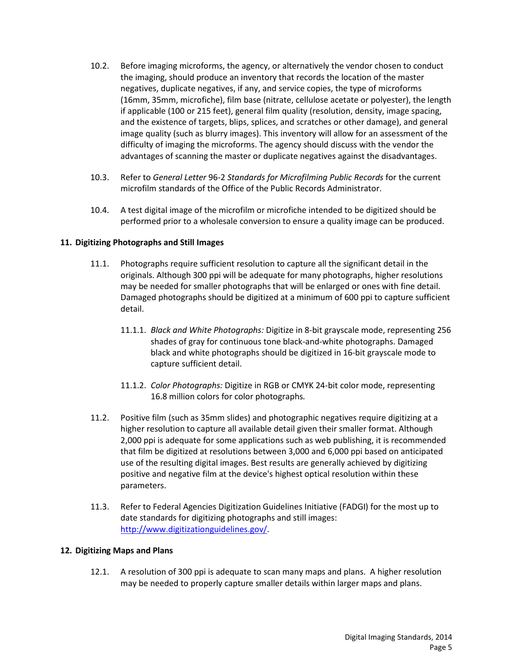- 10.2. Before imaging microforms, the agency, or alternatively the vendor chosen to conduct the imaging, should produce an inventory that records the location of the master negatives, duplicate negatives, if any, and service copies, the type of microforms (16mm, 35mm, microfiche), film base (nitrate, cellulose acetate or polyester), the length if applicable (100 or 215 feet), general film quality (resolution, density, image spacing, and the existence of targets, blips, splices, and scratches or other damage), and general image quality (such as blurry images). This inventory will allow for an assessment of the difficulty of imaging the microforms. The agency should discuss with the vendor the advantages of scanning the master or duplicate negatives against the disadvantages.
- 10.3. Refer to *General Letter* 96-2 *Standards for Microfilming Public Records* for the current microfilm standards of the Office of the Public Records Administrator.
- 10.4. A test digital image of the microfilm or microfiche intended to be digitized should be performed prior to a wholesale conversion to ensure a quality image can be produced.

# **11. Digitizing Photographs and Still Images**

- 11.1. Photographs require sufficient resolution to capture all the significant detail in the originals. Although 300 ppi will be adequate for many photographs, higher resolutions may be needed for smaller photographs that will be enlarged or ones with fine detail. Damaged photographs should be digitized at a minimum of 600 ppi to capture sufficient detail.
	- 11.1.1. *Black and White Photographs:* Digitize in 8-bit grayscale mode, representing 256 shades of gray for continuous tone black-and-white photographs. Damaged black and white photographs should be digitized in 16-bit grayscale mode to capture sufficient detail.
	- 11.1.2. *Color Photographs:* Digitize in RGB or CMYK 24-bit color mode, representing 16.8 million colors for color photographs*.*
- 11.2. Positive film (such as 35mm slides) and photographic negatives require digitizing at a higher resolution to capture all available detail given their smaller format. Although 2,000 ppi is adequate for some applications such as web publishing, it is recommended that film be digitized at resolutions between 3,000 and 6,000 ppi based on anticipated use of the resulting digital images. Best results are generally achieved by digitizing positive and negative film at the device's highest optical resolution within these parameters.
- 11.3. Refer to Federal Agencies Digitization Guidelines Initiative (FADGI) for the most up to date standards for digitizing photographs and still images: [http://www.digitizationguidelines.gov/.](http://www.digitizationguidelines.gov/)

## **12. Digitizing Maps and Plans**

12.1. A resolution of 300 ppi is adequate to scan many maps and plans. A higher resolution may be needed to properly capture smaller details within larger maps and plans.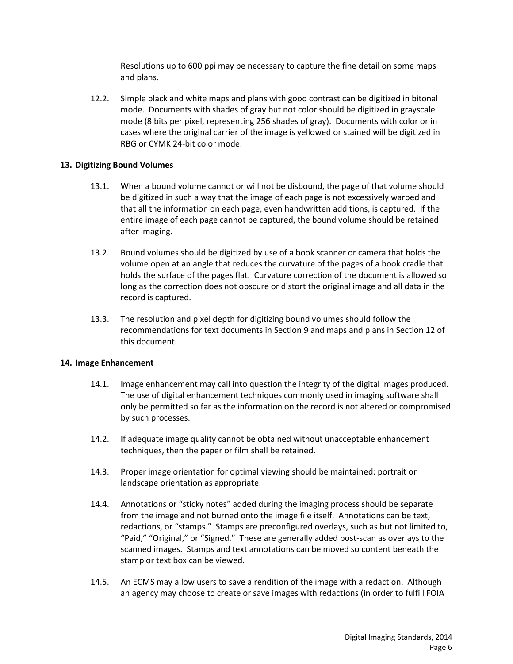Resolutions up to 600 ppi may be necessary to capture the fine detail on some maps and plans.

12.2. Simple black and white maps and plans with good contrast can be digitized in bitonal mode. Documents with shades of gray but not color should be digitized in grayscale mode (8 bits per pixel, representing 256 shades of gray). Documents with color or in cases where the original carrier of the image is yellowed or stained will be digitized in RBG or CYMK 24-bit color mode.

#### **13. Digitizing Bound Volumes**

- 13.1. When a bound volume cannot or will not be disbound, the page of that volume should be digitized in such a way that the image of each page is not excessively warped and that all the information on each page, even handwritten additions, is captured. If the entire image of each page cannot be captured, the bound volume should be retained after imaging.
- 13.2. Bound volumes should be digitized by use of a book scanner or camera that holds the volume open at an angle that reduces the curvature of the pages of a book cradle that holds the surface of the pages flat. Curvature correction of the document is allowed so long as the correction does not obscure or distort the original image and all data in the record is captured.
- 13.3. The resolution and pixel depth for digitizing bound volumes should follow the recommendations for text documents in Section 9 and maps and plans in Section 12 of this document.

#### **14. Image Enhancement**

- 14.1. Image enhancement may call into question the integrity of the digital images produced. The use of digital enhancement techniques commonly used in imaging software shall only be permitted so far as the information on the record is not altered or compromised by such processes.
- 14.2. If adequate image quality cannot be obtained without unacceptable enhancement techniques, then the paper or film shall be retained.
- 14.3. Proper image orientation for optimal viewing should be maintained: portrait or landscape orientation as appropriate.
- 14.4. Annotations or "sticky notes" added during the imaging process should be separate from the image and not burned onto the image file itself. Annotations can be text, redactions, or "stamps." Stamps are preconfigured overlays, such as but not limited to, "Paid," "Original," or "Signed." These are generally added post-scan as overlays to the scanned images. Stamps and text annotations can be moved so content beneath the stamp or text box can be viewed.
- 14.5. An ECMS may allow users to save a rendition of the image with a redaction. Although an agency may choose to create or save images with redactions (in order to fulfill FOIA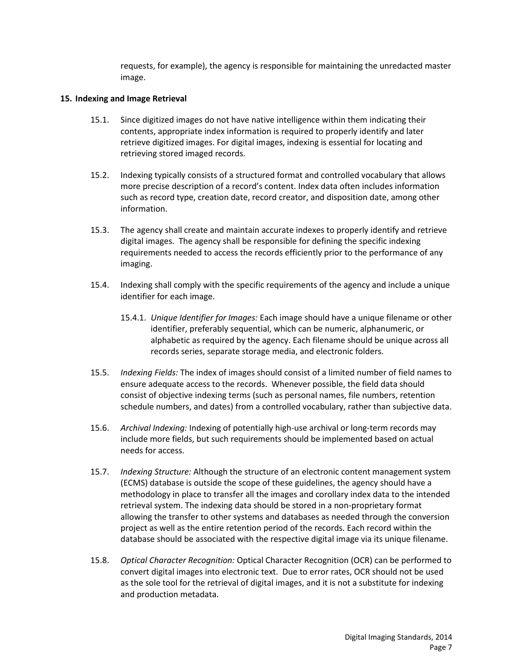requests, for example), the agency is responsible for maintaining the unredacted master image.

#### **15. Indexing and Image Retrieval**

- 15.1. Since digitized images do not have native intelligence within them indicating their contents, appropriate index information is required to properly identify and later retrieve digitized images. For digital images, indexing is essential for locating and retrieving stored imaged records.
- 15.2. Indexing typically consists of a structured format and controlled vocabulary that allows more precise description of a record's content. Index data often includes information such as record type, creation date, record creator, and disposition date, among other information.
- 15.3. The agency shall create and maintain accurate indexes to properly identify and retrieve digital images. The agency shall be responsible for defining the specific indexing requirements needed to access the records efficiently prior to the performance of any imaging.
- 15.4. Indexing shall comply with the specific requirements of the agency and include a unique identifier for each image.
	- 15.4.1. *Unique Identifier for Images:* Each image should have a unique filename or other identifier, preferably sequential, which can be numeric, alphanumeric, or alphabetic as required by the agency. Each filename should be unique across all records series, separate storage media, and electronic folders.
- 15.5. *Indexing Fields:* The index of images should consist of a limited number of field names to ensure adequate access to the records. Whenever possible, the field data should consist of objective indexing terms (such as personal names, file numbers, retention schedule numbers, and dates) from a controlled vocabulary, rather than subjective data.
- 15.6. *Archival Indexing:* Indexing of potentially high-use archival or long-term records may include more fields, but such requirements should be implemented based on actual needs for access.
- 15.7. *Indexing Structure:* Although the structure of an electronic content management system (ECMS) database is outside the scope of these guidelines, the agency should have a methodology in place to transfer all the images and corollary index data to the intended retrieval system. The indexing data should be stored in a non-proprietary format allowing the transfer to other systems and databases as needed through the conversion project as well as the entire retention period of the records. Each record within the database should be associated with the respective digital image via its unique filename.
- 15.8. *Optical Character Recognition:* Optical Character Recognition (OCR) can be performed to convert digital images into electronic text. Due to error rates, OCR should not be used as the sole tool for the retrieval of digital images, and it is not a substitute for indexing and production metadata.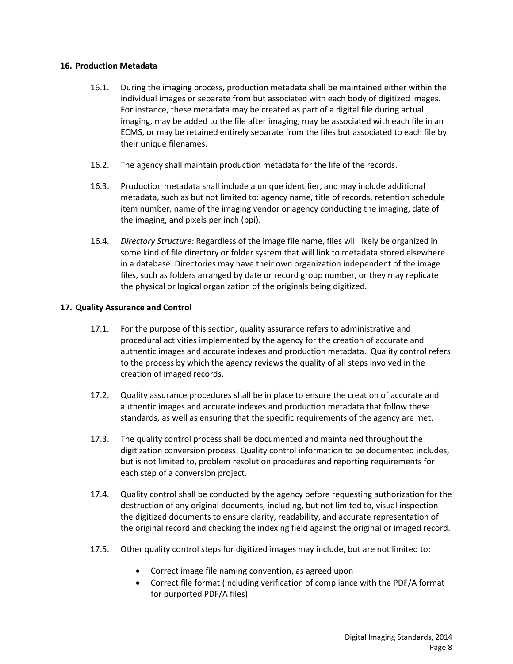#### **16. Production Metadata**

- 16.1. During the imaging process, production metadata shall be maintained either within the individual images or separate from but associated with each body of digitized images. For instance, these metadata may be created as part of a digital file during actual imaging, may be added to the file after imaging, may be associated with each file in an ECMS, or may be retained entirely separate from the files but associated to each file by their unique filenames.
- 16.2. The agency shall maintain production metadata for the life of the records.
- 16.3. Production metadata shall include a unique identifier, and may include additional metadata, such as but not limited to: agency name, title of records, retention schedule item number, name of the imaging vendor or agency conducting the imaging, date of the imaging, and pixels per inch (ppi).
- 16.4. *Directory Structure:* Regardless of the image file name, files will likely be organized in some kind of file directory or folder system that will link to metadata stored elsewhere in a database. Directories may have their own organization independent of the image files, such as folders arranged by date or record group number, or they may replicate the physical or logical organization of the originals being digitized.

#### **17. Quality Assurance and Control**

- 17.1. For the purpose of this section, quality assurance refers to administrative and procedural activities implemented by the agency for the creation of accurate and authentic images and accurate indexes and production metadata. Quality control refers to the process by which the agency reviews the quality of all steps involved in the creation of imaged records.
- 17.2. Quality assurance procedures shall be in place to ensure the creation of accurate and authentic images and accurate indexes and production metadata that follow these standards, as well as ensuring that the specific requirements of the agency are met.
- 17.3. The quality control process shall be documented and maintained throughout the digitization conversion process. Quality control information to be documented includes, but is not limited to, problem resolution procedures and reporting requirements for each step of a conversion project.
- 17.4. Quality control shall be conducted by the agency before requesting authorization for the destruction of any original documents, including, but not limited to, visual inspection the digitized documents to ensure clarity, readability, and accurate representation of the original record and checking the indexing field against the original or imaged record.
- 17.5. Other quality control steps for digitized images may include, but are not limited to:
	- Correct image file naming convention, as agreed upon
	- Correct file format (including verification of compliance with the PDF/A format for purported PDF/A files)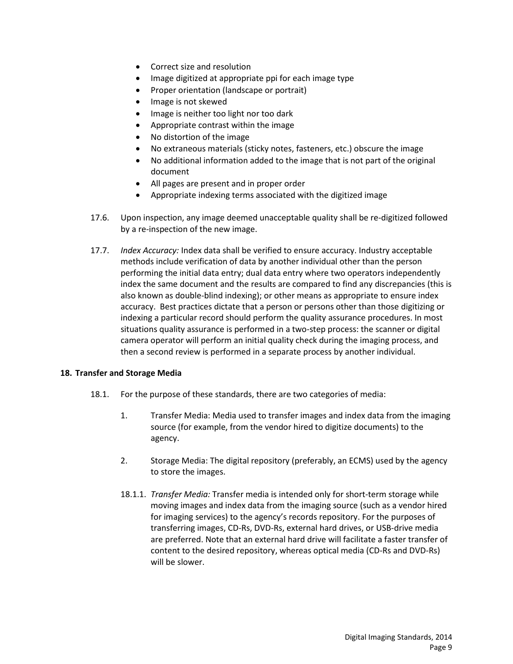- Correct size and resolution
- Image digitized at appropriate ppi for each image type
- Proper orientation (landscape or portrait)
- Image is not skewed
- Image is neither too light nor too dark
- Appropriate contrast within the image
- No distortion of the image
- No extraneous materials (sticky notes, fasteners, etc.) obscure the image
- No additional information added to the image that is not part of the original document
- All pages are present and in proper order
- Appropriate indexing terms associated with the digitized image
- 17.6. Upon inspection, any image deemed unacceptable quality shall be re-digitized followed by a re-inspection of the new image.
- 17.7. *Index Accuracy:* Index data shall be verified to ensure accuracy. Industry acceptable methods include verification of data by another individual other than the person performing the initial data entry; dual data entry where two operators independently index the same document and the results are compared to find any discrepancies (this is also known as double-blind indexing); or other means as appropriate to ensure index accuracy. Best practices dictate that a person or persons other than those digitizing or indexing a particular record should perform the quality assurance procedures. In most situations quality assurance is performed in a two-step process: the scanner or digital camera operator will perform an initial quality check during the imaging process, and then a second review is performed in a separate process by another individual.

## **18. Transfer and Storage Media**

- 18.1. For the purpose of these standards, there are two categories of media:
	- 1. Transfer Media: Media used to transfer images and index data from the imaging source (for example, from the vendor hired to digitize documents) to the agency.
	- 2. Storage Media: The digital repository (preferably, an ECMS) used by the agency to store the images.
	- 18.1.1. *Transfer Media:* Transfer media is intended only for short-term storage while moving images and index data from the imaging source (such as a vendor hired for imaging services) to the agency's records repository. For the purposes of transferring images, CD-Rs, DVD-Rs, external hard drives, or USB-drive media are preferred. Note that an external hard drive will facilitate a faster transfer of content to the desired repository, whereas optical media (CD-Rs and DVD-Rs) will be slower.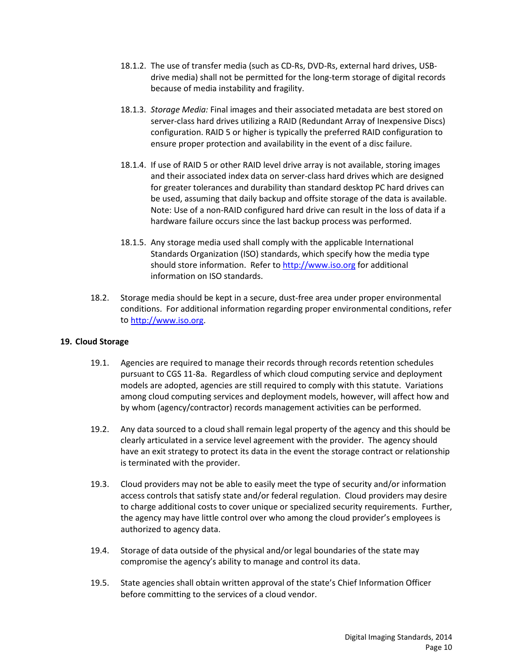- 18.1.2. The use of transfer media (such as CD-Rs, DVD-Rs, external hard drives, USBdrive media) shall not be permitted for the long-term storage of digital records because of media instability and fragility.
- 18.1.3. *Storage Media:* Final images and their associated metadata are best stored on server-class hard drives utilizing a RAID (Redundant Array of Inexpensive Discs) configuration. RAID 5 or higher is typically the preferred RAID configuration to ensure proper protection and availability in the event of a disc failure.
- 18.1.4. If use of RAID 5 or other RAID level drive array is not available, storing images and their associated index data on server-class hard drives which are designed for greater tolerances and durability than standard desktop PC hard drives can be used, assuming that daily backup and offsite storage of the data is available. Note: Use of a non-RAID configured hard drive can result in the loss of data if a hardware failure occurs since the last backup process was performed.
- 18.1.5. Any storage media used shall comply with the applicable International Standards Organization (ISO) standards, which specify how the media type should store information. Refer to [http://www.iso.org](http://www.iso.org/) for additional information on ISO standards.
- 18.2. Storage media should be kept in a secure, dust-free area under proper environmental conditions. For additional information regarding proper environmental conditions, refer to [http://www.iso.org.](http://www.iso.org/)

## **19. Cloud Storage**

- 19.1. Agencies are required to manage their records through records retention schedules pursuant to CGS 11-8a. Regardless of which cloud computing service and deployment models are adopted, agencies are still required to comply with this statute. Variations among cloud computing services and deployment models, however, will affect how and by whom (agency/contractor) records management activities can be performed.
- 19.2. Any data sourced to a cloud shall remain legal property of the agency and this should be clearly articulated in a service level agreement with the provider. The agency should have an exit strategy to protect its data in the event the storage contract or relationship is terminated with the provider.
- 19.3. Cloud providers may not be able to easily meet the type of security and/or information access controls that satisfy state and/or federal regulation. Cloud providers may desire to charge additional costs to cover unique or specialized security requirements. Further, the agency may have little control over who among the cloud provider's employees is authorized to agency data.
- 19.4. Storage of data outside of the physical and/or legal boundaries of the state may compromise the agency's ability to manage and control its data.
- 19.5. State agencies shall obtain written approval of the state's Chief Information Officer before committing to the services of a cloud vendor.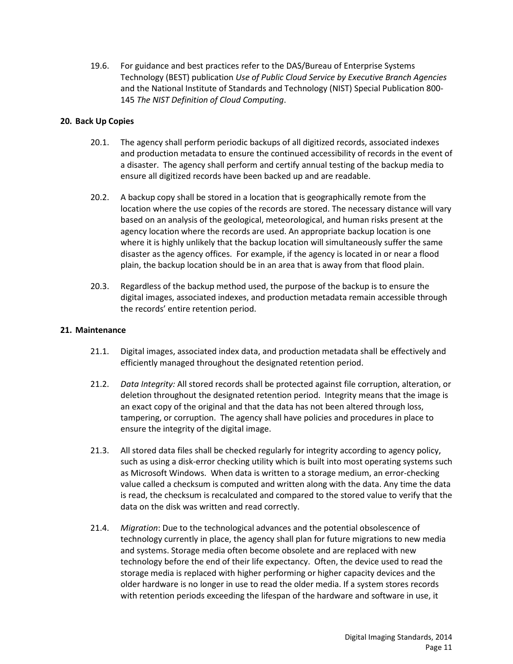19.6. For guidance and best practices refer to the DAS/Bureau of Enterprise Systems Technology (BEST) publication *Use of Public Cloud Service by Executive Branch Agencies* and the National Institute of Standards and Technology (NIST) Special Publication 800- 145 *The NIST Definition of Cloud Computing*.

# **20. Back Up Copies**

- 20.1. The agency shall perform periodic backups of all digitized records, associated indexes and production metadata to ensure the continued accessibility of records in the event of a disaster. The agency shall perform and certify annual testing of the backup media to ensure all digitized records have been backed up and are readable.
- 20.2. A backup copy shall be stored in a location that is geographically remote from the location where the use copies of the records are stored. The necessary distance will vary based on an analysis of the geological, meteorological, and human risks present at the agency location where the records are used. An appropriate backup location is one where it is highly unlikely that the backup location will simultaneously suffer the same disaster as the agency offices. For example, if the agency is located in or near a flood plain, the backup location should be in an area that is away from that flood plain.
- 20.3. Regardless of the backup method used, the purpose of the backup is to ensure the digital images, associated indexes, and production metadata remain accessible through the records' entire retention period.

## **21. Maintenance**

- 21.1. Digital images, associated index data, and production metadata shall be effectively and efficiently managed throughout the designated retention period.
- 21.2. *Data Integrity:* All stored records shall be protected against file corruption, alteration, or deletion throughout the designated retention period. Integrity means that the image is an exact copy of the original and that the data has not been altered through loss, tampering, or corruption. The agency shall have policies and procedures in place to ensure the integrity of the digital image.
- 21.3. All stored data files shall be checked regularly for integrity according to agency policy, such as using a disk-error checking utility which is built into most operating systems such as Microsoft Windows. When data is written to a storage medium, an error-checking value called a checksum is computed and written along with the data. Any time the data is read, the checksum is recalculated and compared to the stored value to verify that the data on the disk was written and read correctly.
- 21.4. *Migration*: Due to the technological advances and the potential obsolescence of technology currently in place, the agency shall plan for future migrations to new media and systems. Storage media often become obsolete and are replaced with new technology before the end of their life expectancy. Often, the device used to read the storage media is replaced with higher performing or higher capacity devices and the older hardware is no longer in use to read the older media. If a system stores records with retention periods exceeding the lifespan of the hardware and software in use, it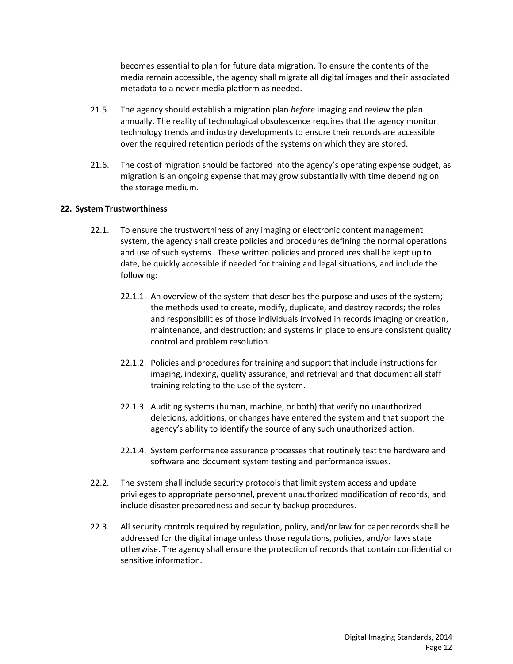becomes essential to plan for future data migration. To ensure the contents of the media remain accessible, the agency shall migrate all digital images and their associated metadata to a newer media platform as needed.

- 21.5. The agency should establish a migration plan *before* imaging and review the plan annually. The reality of technological obsolescence requires that the agency monitor technology trends and industry developments to ensure their records are accessible over the required retention periods of the systems on which they are stored.
- 21.6. The cost of migration should be factored into the agency's operating expense budget, as migration is an ongoing expense that may grow substantially with time depending on the storage medium.

## **22. System Trustworthiness**

- 22.1. To ensure the trustworthiness of any imaging or electronic content management system, the agency shall create policies and procedures defining the normal operations and use of such systems. These written policies and procedures shall be kept up to date, be quickly accessible if needed for training and legal situations, and include the following:
	- 22.1.1. An overview of the system that describes the purpose and uses of the system; the methods used to create, modify, duplicate, and destroy records; the roles and responsibilities of those individuals involved in records imaging or creation, maintenance, and destruction; and systems in place to ensure consistent quality control and problem resolution.
	- 22.1.2. Policies and procedures for training and support that include instructions for imaging, indexing, quality assurance, and retrieval and that document all staff training relating to the use of the system.
	- 22.1.3. Auditing systems (human, machine, or both) that verify no unauthorized deletions, additions, or changes have entered the system and that support the agency's ability to identify the source of any such unauthorized action.
	- 22.1.4. System performance assurance processes that routinely test the hardware and software and document system testing and performance issues.
- 22.2. The system shall include security protocols that limit system access and update privileges to appropriate personnel, prevent unauthorized modification of records, and include disaster preparedness and security backup procedures.
- 22.3. All security controls required by regulation, policy, and/or law for paper records shall be addressed for the digital image unless those regulations, policies, and/or laws state otherwise. The agency shall ensure the protection of records that contain confidential or sensitive information.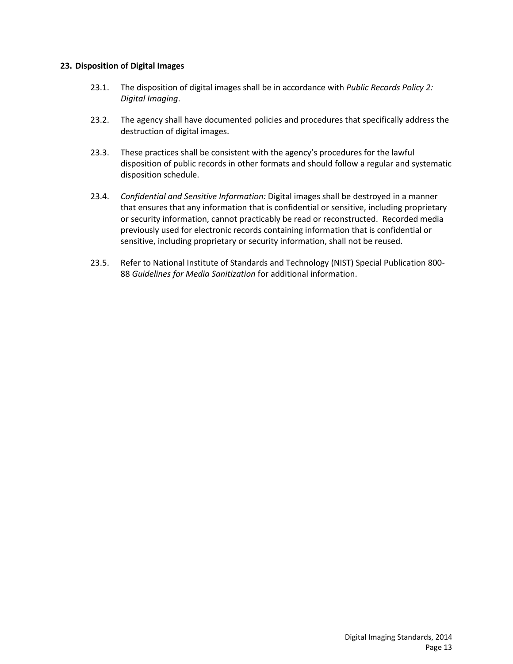## **23. Disposition of Digital Images**

- 23.1. The disposition of digital images shall be in accordance with *Public Records Policy 2: Digital Imaging*.
- 23.2. The agency shall have documented policies and procedures that specifically address the destruction of digital images.
- 23.3. These practices shall be consistent with the agency's procedures for the lawful disposition of public records in other formats and should follow a regular and systematic disposition schedule.
- 23.4. *Confidential and Sensitive Information:* Digital images shall be destroyed in a manner that ensures that any information that is confidential or sensitive, including proprietary or security information, cannot practicably be read or reconstructed. Recorded media previously used for electronic records containing information that is confidential or sensitive, including proprietary or security information, shall not be reused.
- 23.5. Refer to National Institute of Standards and Technology (NIST) Special Publication 800- 88 *Guidelines for Media Sanitization* for additional information.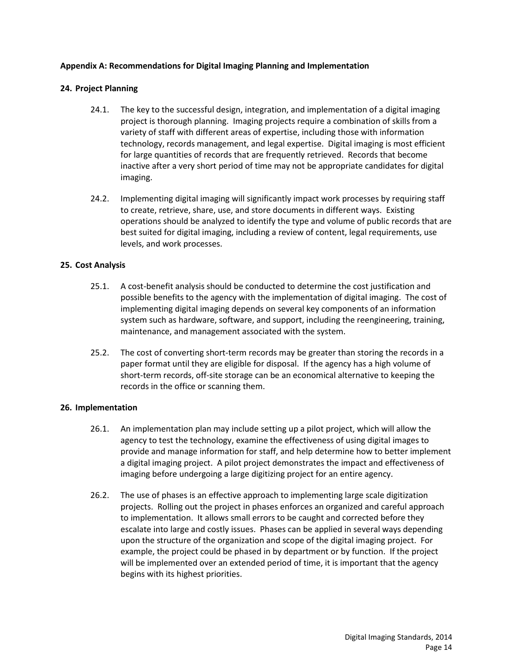## **Appendix A: Recommendations for Digital Imaging Planning and Implementation**

## **24. Project Planning**

- 24.1. The key to the successful design, integration, and implementation of a digital imaging project is thorough planning. Imaging projects require a combination of skills from a variety of staff with different areas of expertise, including those with information technology, records management, and legal expertise. Digital imaging is most efficient for large quantities of records that are frequently retrieved. Records that become inactive after a very short period of time may not be appropriate candidates for digital imaging.
- 24.2. Implementing digital imaging will significantly impact work processes by requiring staff to create, retrieve, share, use, and store documents in different ways. Existing operations should be analyzed to identify the type and volume of public records that are best suited for digital imaging, including a review of content, legal requirements, use levels, and work processes.

# **25. Cost Analysis**

- 25.1. A cost-benefit analysis should be conducted to determine the cost justification and possible benefits to the agency with the implementation of digital imaging. The cost of implementing digital imaging depends on several key components of an information system such as hardware, software, and support, including the reengineering, training, maintenance, and management associated with the system.
- 25.2. The cost of converting short-term records may be greater than storing the records in a paper format until they are eligible for disposal. If the agency has a high volume of short-term records, off-site storage can be an economical alternative to keeping the records in the office or scanning them.

## **26. Implementation**

- 26.1. An implementation plan may include setting up a pilot project, which will allow the agency to test the technology, examine the effectiveness of using digital images to provide and manage information for staff, and help determine how to better implement a digital imaging project. A pilot project demonstrates the impact and effectiveness of imaging before undergoing a large digitizing project for an entire agency.
- 26.2. The use of phases is an effective approach to implementing large scale digitization projects. Rolling out the project in phases enforces an organized and careful approach to implementation. It allows small errors to be caught and corrected before they escalate into large and costly issues. Phases can be applied in several ways depending upon the structure of the organization and scope of the digital imaging project. For example, the project could be phased in by department or by function. If the project will be implemented over an extended period of time, it is important that the agency begins with its highest priorities.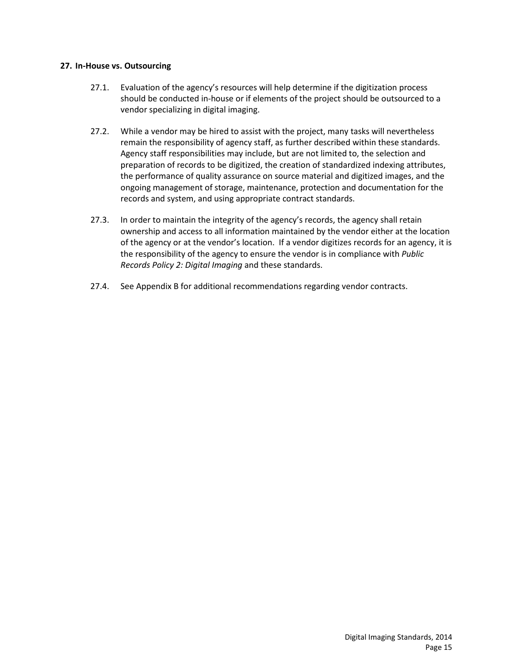#### **27. In-House vs. Outsourcing**

- 27.1. Evaluation of the agency's resources will help determine if the digitization process should be conducted in-house or if elements of the project should be outsourced to a vendor specializing in digital imaging.
- 27.2. While a vendor may be hired to assist with the project, many tasks will nevertheless remain the responsibility of agency staff, as further described within these standards. Agency staff responsibilities may include, but are not limited to, the selection and preparation of records to be digitized, the creation of standardized indexing attributes, the performance of quality assurance on source material and digitized images, and the ongoing management of storage, maintenance, protection and documentation for the records and system, and using appropriate contract standards.
- 27.3. In order to maintain the integrity of the agency's records, the agency shall retain ownership and access to all information maintained by the vendor either at the location of the agency or at the vendor's location. If a vendor digitizes records for an agency, it is the responsibility of the agency to ensure the vendor is in compliance with *Public Records Policy 2: Digital Imaging* and these standards.
- 27.4. See Appendix B for additional recommendations regarding vendor contracts.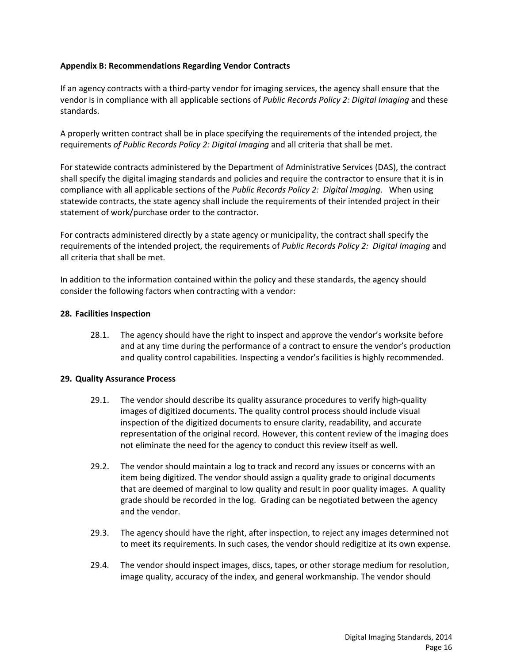## **Appendix B: Recommendations Regarding Vendor Contracts**

If an agency contracts with a third-party vendor for imaging services, the agency shall ensure that the vendor is in compliance with all applicable sections of *Public Records Policy 2: Digital Imaging* and these standards.

A properly written contract shall be in place specifying the requirements of the intended project, the requirements *of Public Records Policy 2: Digital Imaging* and all criteria that shall be met.

For statewide contracts administered by the Department of Administrative Services (DAS), the contract shall specify the digital imaging standards and policies and require the contractor to ensure that it is in compliance with all applicable sections of the *Public Records Policy 2: Digital Imaging*. When using statewide contracts, the state agency shall include the requirements of their intended project in their statement of work/purchase order to the contractor.

For contracts administered directly by a state agency or municipality, the contract shall specify the requirements of the intended project, the requirements of *Public Records Policy 2: Digital Imaging* and all criteria that shall be met.

In addition to the information contained within the policy and these standards, the agency should consider the following factors when contracting with a vendor:

#### **28. Facilities Inspection**

28.1. The agency should have the right to inspect and approve the vendor's worksite before and at any time during the performance of a contract to ensure the vendor's production and quality control capabilities. Inspecting a vendor's facilities is highly recommended.

#### **29. Quality Assurance Process**

- 29.1. The vendor should describe its quality assurance procedures to verify high-quality images of digitized documents. The quality control process should include visual inspection of the digitized documents to ensure clarity, readability, and accurate representation of the original record. However, this content review of the imaging does not eliminate the need for the agency to conduct this review itself as well.
- 29.2. The vendor should maintain a log to track and record any issues or concerns with an item being digitized. The vendor should assign a quality grade to original documents that are deemed of marginal to low quality and result in poor quality images. A quality grade should be recorded in the log. Grading can be negotiated between the agency and the vendor.
- 29.3. The agency should have the right, after inspection, to reject any images determined not to meet its requirements. In such cases, the vendor should redigitize at its own expense.
- 29.4. The vendor should inspect images, discs, tapes, or other storage medium for resolution, image quality, accuracy of the index, and general workmanship. The vendor should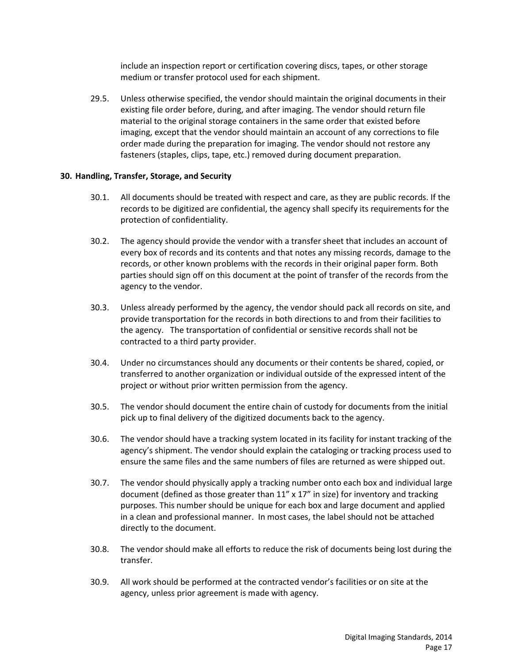include an inspection report or certification covering discs, tapes, or other storage medium or transfer protocol used for each shipment.

29.5. Unless otherwise specified, the vendor should maintain the original documents in their existing file order before, during, and after imaging. The vendor should return file material to the original storage containers in the same order that existed before imaging, except that the vendor should maintain an account of any corrections to file order made during the preparation for imaging. The vendor should not restore any fasteners (staples, clips, tape, etc.) removed during document preparation.

#### **30. Handling, Transfer, Storage, and Security**

- 30.1. All documents should be treated with respect and care, as they are public records. If the records to be digitized are confidential, the agency shall specify its requirements for the protection of confidentiality.
- 30.2. The agency should provide the vendor with a transfer sheet that includes an account of every box of records and its contents and that notes any missing records, damage to the records, or other known problems with the records in their original paper form. Both parties should sign off on this document at the point of transfer of the records from the agency to the vendor.
- 30.3. Unless already performed by the agency, the vendor should pack all records on site, and provide transportation for the records in both directions to and from their facilities to the agency. The transportation of confidential or sensitive records shall not be contracted to a third party provider.
- 30.4. Under no circumstances should any documents or their contents be shared, copied, or transferred to another organization or individual outside of the expressed intent of the project or without prior written permission from the agency.
- 30.5. The vendor should document the entire chain of custody for documents from the initial pick up to final delivery of the digitized documents back to the agency.
- 30.6. The vendor should have a tracking system located in its facility for instant tracking of the agency's shipment. The vendor should explain the cataloging or tracking process used to ensure the same files and the same numbers of files are returned as were shipped out.
- 30.7. The vendor should physically apply a tracking number onto each box and individual large document (defined as those greater than 11" x 17" in size) for inventory and tracking purposes. This number should be unique for each box and large document and applied in a clean and professional manner. In most cases, the label should not be attached directly to the document.
- 30.8. The vendor should make all efforts to reduce the risk of documents being lost during the transfer.
- 30.9. All work should be performed at the contracted vendor's facilities or on site at the agency, unless prior agreement is made with agency.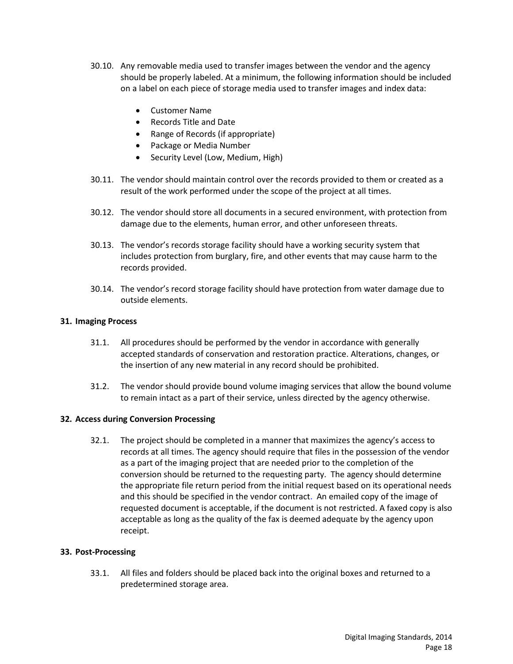- 30.10. Any removable media used to transfer images between the vendor and the agency should be properly labeled. At a minimum, the following information should be included on a label on each piece of storage media used to transfer images and index data:
	- Customer Name
	- Records Title and Date
	- Range of Records (if appropriate)
	- Package or Media Number
	- Security Level (Low, Medium, High)
- 30.11. The vendor should maintain control over the records provided to them or created as a result of the work performed under the scope of the project at all times.
- 30.12. The vendor should store all documents in a secured environment, with protection from damage due to the elements, human error, and other unforeseen threats.
- 30.13. The vendor's records storage facility should have a working security system that includes protection from burglary, fire, and other events that may cause harm to the records provided.
- 30.14. The vendor's record storage facility should have protection from water damage due to outside elements.

#### **31. Imaging Process**

- 31.1. All procedures should be performed by the vendor in accordance with generally accepted standards of conservation and restoration practice. Alterations, changes, or the insertion of any new material in any record should be prohibited.
- 31.2. The vendor should provide bound volume imaging services that allow the bound volume to remain intact as a part of their service, unless directed by the agency otherwise.

#### **32. Access during Conversion Processing**

32.1. The project should be completed in a manner that maximizes the agency's access to records at all times. The agency should require that files in the possession of the vendor as a part of the imaging project that are needed prior to the completion of the conversion should be returned to the requesting party. The agency should determine the appropriate file return period from the initial request based on its operational needs and this should be specified in the vendor contract. An emailed copy of the image of requested document is acceptable, if the document is not restricted. A faxed copy is also acceptable as long as the quality of the fax is deemed adequate by the agency upon receipt.

#### **33. Post-Processing**

33.1. All files and folders should be placed back into the original boxes and returned to a predetermined storage area.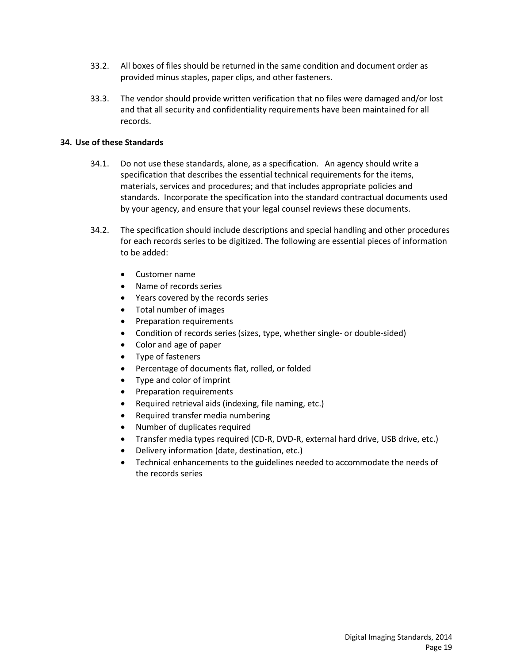- 33.2. All boxes of files should be returned in the same condition and document order as provided minus staples, paper clips, and other fasteners.
- 33.3. The vendor should provide written verification that no files were damaged and/or lost and that all security and confidentiality requirements have been maintained for all records.

## **34. Use of these Standards**

- 34.1. Do not use these standards, alone, as a specification. An agency should write a specification that describes the essential technical requirements for the items, materials, services and procedures; and that includes appropriate policies and standards. Incorporate the specification into the standard contractual documents used by your agency, and ensure that your legal counsel reviews these documents.
- 34.2. The specification should include descriptions and special handling and other procedures for each records series to be digitized. The following are essential pieces of information to be added:
	- Customer name
	- Name of records series
	- Years covered by the records series
	- Total number of images
	- Preparation requirements
	- Condition of records series (sizes, type, whether single- or double-sided)
	- Color and age of paper
	- Type of fasteners
	- Percentage of documents flat, rolled, or folded
	- Type and color of imprint
	- Preparation requirements
	- Required retrieval aids (indexing, file naming, etc.)
	- Required transfer media numbering
	- Number of duplicates required
	- Transfer media types required (CD-R, DVD-R, external hard drive, USB drive, etc.)
	- Delivery information (date, destination, etc.)
	- Technical enhancements to the guidelines needed to accommodate the needs of the records series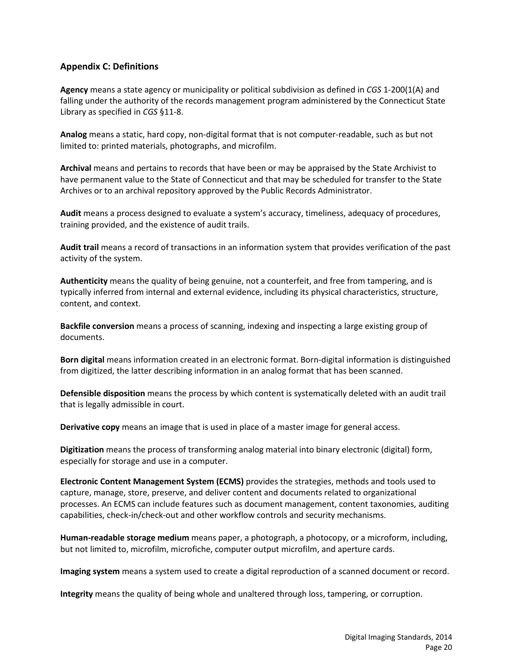# **Appendix C: Definitions**

**Agency** means a state agency or municipality or political subdivision as defined in *CGS* 1-200(1(A) and falling under the authority of the records management program administered by the Connecticut State Library as specified in *CGS* §11-8.

**Analog** means a static, hard copy, non-digital format that is not computer-readable, such as but not limited to: printed materials, photographs, and microfilm.

**Archival** means and pertains to records that have been or may be appraised by the State Archivist to have permanent value to the State of Connecticut and that may be scheduled for transfer to the State Archives or to an archival repository approved by the Public Records Administrator.

**Audit** means a process designed to evaluate a system's accuracy, timeliness, adequacy of procedures, training provided, and the existence of audit trails.

**Audit trail** means a record of transactions in an information system that provides verification of the past activity of the system.

**Authenticity** means the quality of being genuine, not a counterfeit, and free from tampering, and is typically inferred from internal and external evidence, including its physical characteristics, structure, content, and context.

**Backfile conversion** means a process of scanning, indexing and inspecting a large existing group of documents.

**Born digital** means information created in an electronic format. Born-digital information is distinguished from digitized, the latter describing information in an analog format that has been scanned.

**Defensible disposition** means the process by which content is systematically deleted with an audit trail that is legally admissible in court.

**Derivative copy** means an image that is used in place of a master image for general access.

**Digitization** means the process of transforming analog material into binary electronic (digital) form, especially for storage and use in a computer.

**Electronic Content Management System (ECMS)** provides the strategies, methods and tools used to capture, manage, store, preserve, and deliver content and documents related to organizational processes. An ECMS can include features such as document management, content taxonomies, auditing capabilities, check-in/check-out and other workflow controls and security mechanisms.

**Human-readable storage medium** means paper, a photograph, a photocopy, or a microform, including, but not limited to, microfilm, microfiche, computer output microfilm, and aperture cards.

**Imaging system** means a system used to create a digital reproduction of a scanned document or record.

**Integrity** means the quality of being whole and unaltered through loss, tampering, or corruption.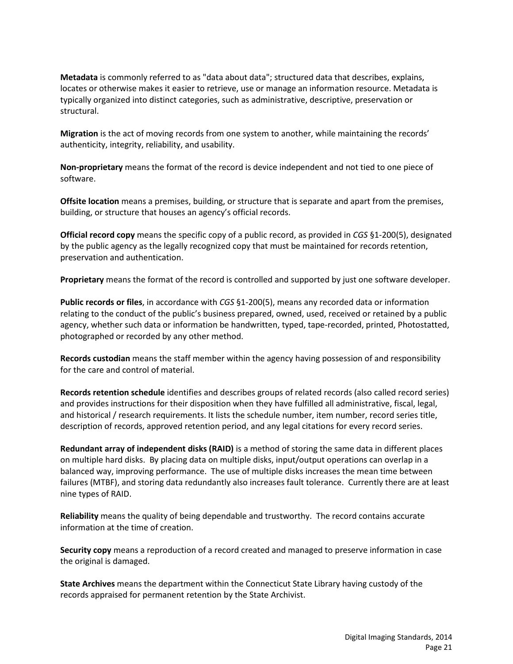**Metadata** is commonly referred to as "data about data"; structured data that describes, explains, locates or otherwise makes it easier to retrieve, use or manage an information resource. Metadata is typically organized into distinct categories, such as administrative, descriptive, preservation or structural.

**Migration** is the act of moving records from one system to another, while maintaining the records' authenticity, integrity, reliability, and usability.

**Non-proprietary** means the format of the record is device independent and not tied to one piece of software.

**Offsite location** means a premises, building, or structure that is separate and apart from the premises, building, or structure that houses an agency's official records.

**Official record copy** means the specific copy of a public record, as provided in *CGS* §1-200(5), designated by the public agency as the legally recognized copy that must be maintained for records retention, preservation and authentication.

**Proprietary** means the format of the record is controlled and supported by just one software developer.

**Public records or files**, in accordance with *CGS* §1-200(5), means any recorded data or information relating to the conduct of the public's business prepared, owned, used, received or retained by a public agency, whether such data or information be handwritten, typed, tape-recorded, printed, Photostatted, photographed or recorded by any other method.

**Records custodian** means the staff member within the agency having possession of and responsibility for the care and control of material.

**Records retention schedule** identifies and describes groups of related records (also called record series) and provides instructions for their disposition when they have fulfilled all administrative, fiscal, legal, and historical / research requirements. It lists the schedule number, item number, record series title, description of records, approved retention period, and any legal citations for every record series.

**Redundant array of independent disks (RAID)** is a method of storing the same data in different places on multiple hard disks. By placing data on multiple disks, input/output operations can overlap in a balanced way, improving performance. The use of multiple disks increases the mean time between failures (MTBF), and storing data redundantly also increases fault tolerance. Currently there are at least nine types of RAID.

**Reliability** means the quality of being dependable and trustworthy. The record contains accurate information at the time of creation.

**Security copy** means a reproduction of a record created and managed to preserve information in case the original is damaged.

**State Archives** means the department within the Connecticut State Library having custody of the records appraised for permanent retention by the State Archivist.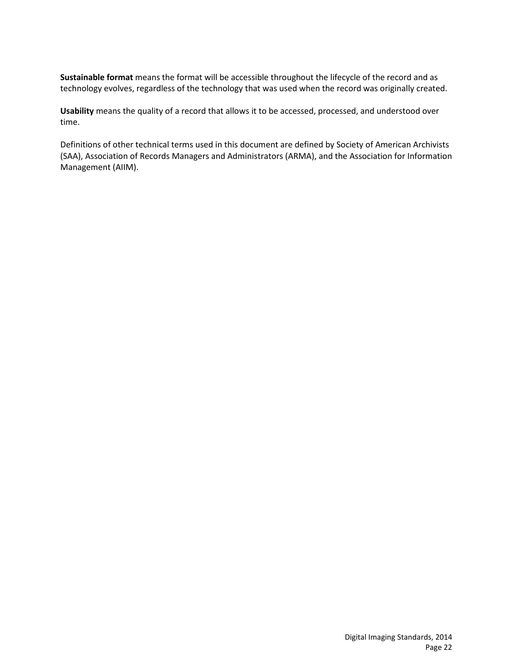**Sustainable format** means the format will be accessible throughout the lifecycle of the record and as technology evolves, regardless of the technology that was used when the record was originally created.

**Usability** means the quality of a record that allows it to be accessed, processed, and understood over time.

Definitions of other technical terms used in this document are defined by Society of American Archivists (SAA), Association of Records Managers and Administrators (ARMA), and the Association for Information Management (AIIM).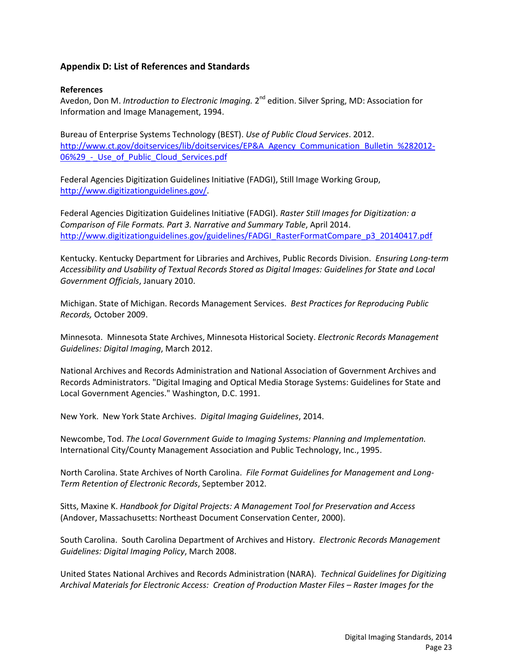# **Appendix D: List of References and Standards**

#### **References**

Avedon, Don M. *Introduction to Electronic Imaging.* 2nd edition. Silver Spring, MD: Association for Information and Image Management, 1994.

Bureau of Enterprise Systems Technology (BEST). *Use of Public Cloud Services*. 2012. [http://www.ct.gov/doitservices/lib/doitservices/EP&A\\_Agency\\_Communication\\_Bulletin\\_%282012-](http://www.ct.gov/doitservices/lib/doitservices/EP&A_Agency_Communication_Bulletin_%282012-06%29_-_Use_of_Public_Cloud_Services.pdf) 06%29 - Use of Public Cloud Services.pdf

Federal Agencies Digitization Guidelines Initiative (FADGI), Still Image Working Group, [http://www.digitizationguidelines.gov/.](http://www.digitizationguidelines.gov/)

Federal Agencies Digitization Guidelines Initiative (FADGI). *Raster Still Images for Digitization: a Comparison of File Formats. Part 3. Narrative and Summary Table*, April 2014. [http://www.digitizationguidelines.gov/guidelines/FADGI\\_RasterFormatCompare\\_p3\\_20140417.pdf](http://www.digitizationguidelines.gov/guidelines/FADGI_RasterFormatCompare_p3_20140417.pdf)

Kentucky. Kentucky Department for Libraries and Archives, Public Records Division. *Ensuring Long-term Accessibility and Usability of Textual Records Stored as Digital Images: Guidelines for State and Local Government Officials*, January 2010.

Michigan. State of Michigan. Records Management Services. *Best Practices for Reproducing Public Records,* October 2009.

Minnesota. Minnesota State Archives, Minnesota Historical Society. *Electronic Records Management Guidelines: Digital Imaging*, March 2012.

National Archives and Records Administration and National Association of Government Archives and Records Administrators. "Digital Imaging and Optical Media Storage Systems: Guidelines for State and Local Government Agencies." Washington, D.C. 1991.

New York. New York State Archives. *Digital Imaging Guidelines*, 2014.

Newcombe, Tod. *The Local Government Guide to Imaging Systems: Planning and Implementation.* International City/County Management Association and Public Technology, Inc., 1995.

North Carolina. State Archives of North Carolina. *File Format Guidelines for Management and Long-Term Retention of Electronic Records*, September 2012.

Sitts, Maxine K. *Handbook for Digital Projects: A Management Tool for Preservation and Access* (Andover, Massachusetts: Northeast Document Conservation Center, 2000).

South Carolina. South Carolina Department of Archives and History. *Electronic Records Management Guidelines: Digital Imaging Policy*, March 2008.

United States National Archives and Records Administration (NARA). *Technical Guidelines for Digitizing Archival Materials for Electronic Access: Creation of Production Master Files – Raster Images for the*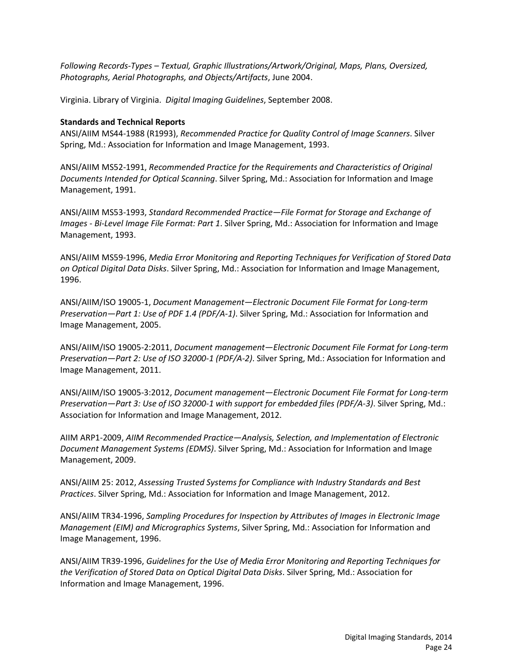*Following Records-Types – Textual, Graphic Illustrations/Artwork/Original, Maps, Plans, Oversized, Photographs, Aerial Photographs, and Objects/Artifacts*, June 2004.

Virginia. Library of Virginia. *Digital Imaging Guidelines*, September 2008.

#### **Standards and Technical Reports**

ANSI/AIIM MS44-1988 (R1993), *Recommended Practice for Quality Control of Image Scanners*. Silver Spring, Md.: Association for Information and Image Management, 1993.

ANSI/AIIM MS52-1991, *Recommended Practice for the Requirements and Characteristics of Original Documents Intended for Optical Scanning*. Silver Spring, Md.: Association for Information and Image Management, 1991.

ANSI/AIIM MS53-1993, *Standard Recommended Practice—File Format for Storage and Exchange of Images - Bi-Level Image File Format: Part 1*. Silver Spring, Md.: Association for Information and Image Management, 1993.

ANSI/AIIM MS59-1996, *Media Error Monitoring and Reporting Techniques for Verification of Stored Data on Optical Digital Data Disks*. Silver Spring, Md.: Association for Information and Image Management, 1996.

ANSI/AIIM/ISO 19005-1, *Document Management—Electronic Document File Format for Long-term Preservation—Part 1: Use of PDF 1.4 (PDF/A-1)*. Silver Spring, Md.: Association for Information and Image Management, 2005.

ANSI/AIIM/ISO 19005-2:2011, *Document management—Electronic Document File Format for Long-term Preservation—Part 2: Use of ISO 32000-1 (PDF/A-2)*. Silver Spring, Md.: Association for Information and Image Management, 2011.

ANSI/AIIM/ISO 19005-3:2012, *Document management—Electronic Document File Format for Long-term Preservation—Part 3: Use of ISO 32000-1 with support for embedded files (PDF/A-3)*. Silver Spring, Md.: Association for Information and Image Management, 2012.

AIIM ARP1-2009, *AIIM Recommended Practice—Analysis, Selection, and Implementation of Electronic Document Management Systems (EDMS)*. Silver Spring, Md.: Association for Information and Image Management, 2009.

ANSI/AIIM 25: 2012, *Assessing Trusted Systems for Compliance with Industry Standards and Best Practices*. Silver Spring, Md.: Association for Information and Image Management, 2012.

ANSI/AIIM TR34-1996, *Sampling Procedures for Inspection by Attributes of Images in Electronic Image Management (EIM) and Micrographics Systems*, Silver Spring, Md.: Association for Information and Image Management, 1996.

ANSI/AIIM TR39-1996, *Guidelines for the Use of Media Error Monitoring and Reporting Techniques for the Verification of Stored Data on Optical Digital Data Disks*. Silver Spring, Md.: Association for Information and Image Management, 1996.